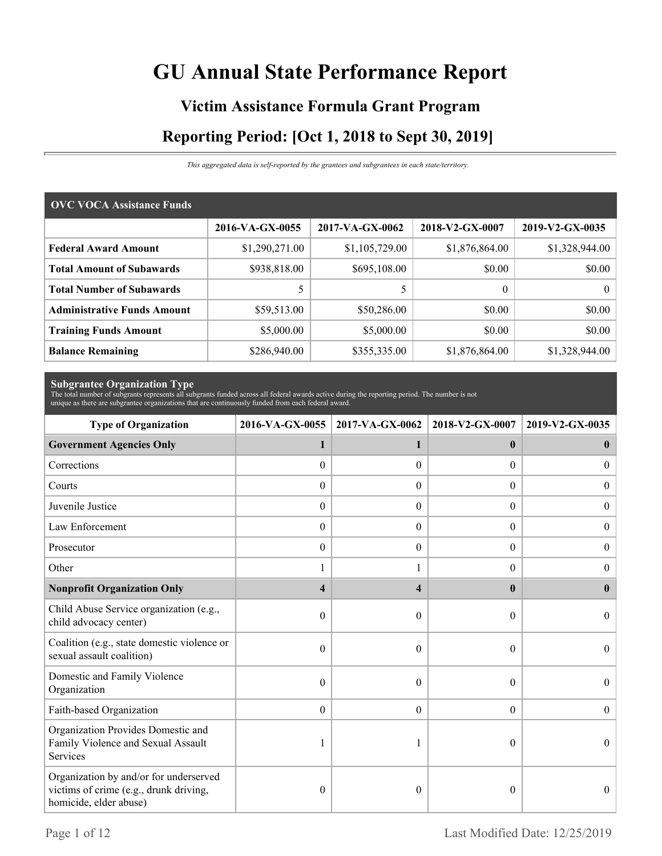# **GU Annual State Performance Report**

# **Victim Assistance Formula Grant Program Reporting Period: [Oct 1, 2018 to Sept 30, 2019]**

*This aggregated data is self-reported by the grantees and subgrantees in each state/territory.*

| <b>OVC VOCA Assistance Funds</b>   |                 |                 |                 |                 |  |  |
|------------------------------------|-----------------|-----------------|-----------------|-----------------|--|--|
|                                    | 2016-VA-GX-0055 | 2017-VA-GX-0062 | 2018-V2-GX-0007 | 2019-V2-GX-0035 |  |  |
| <b>Federal Award Amount</b>        | \$1,290,271.00  | \$1,105,729.00  | \$1,876,864.00  | \$1,328,944.00  |  |  |
| <b>Total Amount of Subawards</b>   | \$938,818.00    | \$695,108.00    | \$0.00          | \$0.00          |  |  |
| <b>Total Number of Subawards</b>   |                 |                 | $\theta$        | $\theta$        |  |  |
| <b>Administrative Funds Amount</b> | \$59,513.00     | \$50,286.00     | \$0.00          | \$0.00          |  |  |
| <b>Training Funds Amount</b>       | \$5,000.00      | \$5,000.00      | \$0.00          | \$0.00          |  |  |
| <b>Balance Remaining</b>           | \$286,940.00    | \$355,335.00    | \$1,876,864.00  | \$1,328,944.00  |  |  |

**Subgrantee Organization Type** The total number of subgrants represents all subgrants funded across all federal awards active during the reporting period. The number is not unique as there are subgrantee organizations that are continuously funded from each federal award.

| <b>Type of Organization</b>                                                                                | 2016-VA-GX-0055<br>2017-VA-GX-0062 |                  | 2018-V2-GX-0007  | 2019-V2-GX-0035  |  |
|------------------------------------------------------------------------------------------------------------|------------------------------------|------------------|------------------|------------------|--|
| <b>Government Agencies Only</b>                                                                            | 1                                  | 1                | $\mathbf{0}$     | $\bf{0}$         |  |
| Corrections                                                                                                | $\boldsymbol{0}$                   | $\Omega$         | 0                | $\theta$         |  |
| Courts                                                                                                     | $\boldsymbol{0}$                   | $\Omega$         | $\Omega$         | $\Omega$         |  |
| Juvenile Justice                                                                                           | $\boldsymbol{0}$                   | $\boldsymbol{0}$ | $\boldsymbol{0}$ | $\overline{0}$   |  |
| Law Enforcement                                                                                            | $\boldsymbol{0}$                   | $\overline{0}$   | $\boldsymbol{0}$ | $\boldsymbol{0}$ |  |
| Prosecutor                                                                                                 | $\theta$                           | $\theta$         | $\Omega$         | $\overline{0}$   |  |
| Other                                                                                                      |                                    |                  | 0                | $\Omega$         |  |
| <b>Nonprofit Organization Only</b>                                                                         | $\overline{\mathbf{4}}$            | 4                | $\mathbf{0}$     | $\mathbf{0}$     |  |
| Child Abuse Service organization (e.g.,<br>child advocacy center)                                          | $\boldsymbol{0}$                   | $\Omega$         | $\theta$         | $\Omega$         |  |
| Coalition (e.g., state domestic violence or<br>sexual assault coalition)                                   | 0                                  | $\theta$         | $\theta$         | $\theta$         |  |
| Domestic and Family Violence<br>Organization                                                               | 0                                  | $\Omega$         | $\theta$         | $\theta$         |  |
| Faith-based Organization                                                                                   | $\mathbf{0}$                       | $\theta$         | $\overline{0}$   | $\theta$         |  |
| Organization Provides Domestic and<br>Family Violence and Sexual Assault<br>Services                       |                                    |                  | 0                | $\theta$         |  |
| Organization by and/or for underserved<br>victims of crime (e.g., drunk driving,<br>homicide, elder abuse) | 0                                  | $\theta$         | 0                | $\theta$         |  |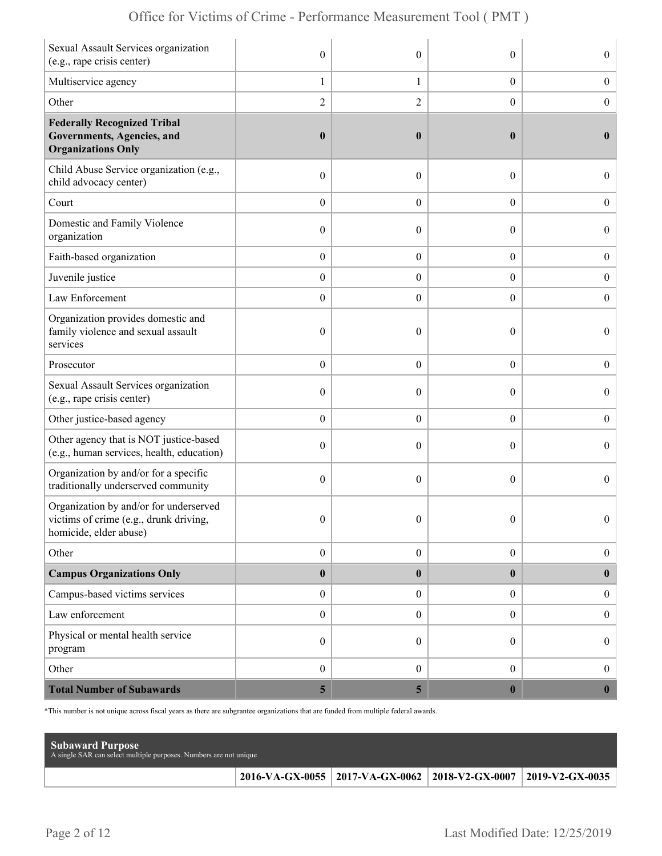| Sexual Assault Services organization<br>(e.g., rape crisis center)                                        | $\mathbf{0}$            | $\theta$         | $\theta$         | $\overline{0}$   |
|-----------------------------------------------------------------------------------------------------------|-------------------------|------------------|------------------|------------------|
| Multiservice agency                                                                                       | 1                       | $\mathbf{1}$     | $\boldsymbol{0}$ | $\boldsymbol{0}$ |
| Other                                                                                                     | $\overline{2}$          | $\overline{2}$   | $\boldsymbol{0}$ | $\boldsymbol{0}$ |
| <b>Federally Recognized Tribal</b><br>Governments, Agencies, and<br><b>Organizations Only</b>             | $\boldsymbol{0}$        | $\boldsymbol{0}$ | $\bf{0}$         | $\bf{0}$         |
| Child Abuse Service organization (e.g.,<br>child advocacy center)                                         | $\boldsymbol{0}$        | $\theta$         | $\boldsymbol{0}$ | $\overline{0}$   |
| Court                                                                                                     | $\boldsymbol{0}$        | $\overline{0}$   | $\overline{0}$   | $\boldsymbol{0}$ |
| Domestic and Family Violence<br>organization                                                              | $\boldsymbol{0}$        | $\theta$         | $\theta$         | $\boldsymbol{0}$ |
| Faith-based organization                                                                                  | $\boldsymbol{0}$        | $\boldsymbol{0}$ | $\boldsymbol{0}$ | $\boldsymbol{0}$ |
| Juvenile justice                                                                                          | $\boldsymbol{0}$        | $\overline{0}$   | $\boldsymbol{0}$ | $\boldsymbol{0}$ |
| Law Enforcement                                                                                           | $\boldsymbol{0}$        | $\theta$         | $\overline{0}$   | $\mathbf{0}$     |
| Organization provides domestic and<br>family violence and sexual assault<br>services                      | $\boldsymbol{0}$        | $\mathbf{0}$     | $\theta$         | $\overline{0}$   |
| Prosecutor                                                                                                | $\boldsymbol{0}$        | $\overline{0}$   | $\overline{0}$   | $\boldsymbol{0}$ |
| Sexual Assault Services organization<br>(e.g., rape crisis center)                                        | $\mathbf{0}$            | $\theta$         | $\theta$         | $\overline{0}$   |
| Other justice-based agency                                                                                | $\boldsymbol{0}$        | $\overline{0}$   | $\boldsymbol{0}$ | $\boldsymbol{0}$ |
| Other agency that is NOT justice-based<br>(e.g., human services, health, education)                       | $\boldsymbol{0}$        | $\overline{0}$   | $\theta$         | $\boldsymbol{0}$ |
| Organization by and/or for a specific<br>traditionally underserved community                              | $\boldsymbol{0}$        | $\theta$         | $\theta$         | $\overline{0}$   |
| Organization by and/or for underserved<br>victims of crime (e.g., drunk driving<br>homicide, elder abuse) | $\mathbf{0}$            | $\mathbf{0}$     | $\theta$         | $\overline{0}$   |
| Other                                                                                                     | $\boldsymbol{0}$        | $\boldsymbol{0}$ | $\boldsymbol{0}$ | $\boldsymbol{0}$ |
| <b>Campus Organizations Only</b>                                                                          | $\pmb{0}$               | $\bf{0}$         | $\bf{0}$         | $\bf{0}$         |
| Campus-based victims services                                                                             | $\boldsymbol{0}$        | $\overline{0}$   | $\overline{0}$   | $\boldsymbol{0}$ |
| Law enforcement                                                                                           | $\boldsymbol{0}$        | $\boldsymbol{0}$ | $\boldsymbol{0}$ | $\boldsymbol{0}$ |
| Physical or mental health service<br>program                                                              | $\boldsymbol{0}$        | $\overline{0}$   | $\overline{0}$   | $\boldsymbol{0}$ |
| Other                                                                                                     | $\boldsymbol{0}$        | $\overline{0}$   | $\overline{0}$   | $\boldsymbol{0}$ |
| <b>Total Number of Subawards</b>                                                                          | $\overline{\mathbf{5}}$ | 5 <sub>5</sub>   | $\boldsymbol{0}$ | $\boldsymbol{0}$ |

\*This number is not unique across fiscal years as there are subgrantee organizations that are funded from multiple federal awards.

| <b>Subaward Purpose</b><br>A single SAR can select multiple purposes. Numbers are not unique |                                                                       |  |
|----------------------------------------------------------------------------------------------|-----------------------------------------------------------------------|--|
|                                                                                              | 2016-VA-GX-0055   2017-VA-GX-0062   2018-V2-GX-0007   2019-V2-GX-0035 |  |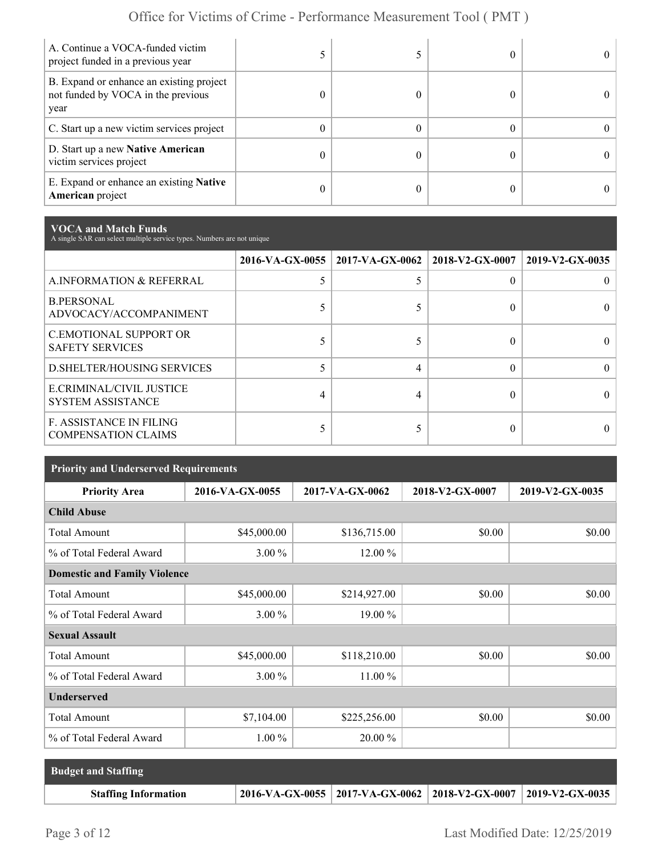| A. Continue a VOCA-funded victim<br>project funded in a previous year                  |  |  |
|----------------------------------------------------------------------------------------|--|--|
| B. Expand or enhance an existing project<br>not funded by VOCA in the previous<br>year |  |  |
| C. Start up a new victim services project                                              |  |  |
| D. Start up a new Native American<br>victim services project                           |  |  |
| E. Expand or enhance an existing <b>Native</b><br>American project                     |  |  |

**VOCA and Match Funds** A single SAR can select multiple service types. Numbers are not unique

|                                                              |   | 2016-VA-GX-0055   2017-VA-GX-0062   2018-V2-GX-0007 |   | 2019-V2-GX-0035 |
|--------------------------------------------------------------|---|-----------------------------------------------------|---|-----------------|
| A.INFORMATION & REFERRAL                                     |   |                                                     | 0 |                 |
| <b>B.PERSONAL</b><br>ADVOCACY/ACCOMPANIMENT                  |   |                                                     | 0 |                 |
| <b>C.EMOTIONAL SUPPORT OR</b><br><b>SAFETY SERVICES</b>      |   |                                                     |   |                 |
| <b>D.SHELTER/HOUSING SERVICES</b>                            |   |                                                     | 0 |                 |
| E.CRIMINAL/CIVIL JUSTICE<br><b>SYSTEM ASSISTANCE</b>         | 4 |                                                     |   |                 |
| <b>F. ASSISTANCE IN FILING</b><br><b>COMPENSATION CLAIMS</b> |   |                                                     | 0 |                 |

| <b>Priority and Underserved Requirements</b> |                 |                 |                 |                 |  |  |
|----------------------------------------------|-----------------|-----------------|-----------------|-----------------|--|--|
| <b>Priority Area</b>                         | 2016-VA-GX-0055 | 2017-VA-GX-0062 | 2018-V2-GX-0007 | 2019-V2-GX-0035 |  |  |
| <b>Child Abuse</b>                           |                 |                 |                 |                 |  |  |
| <b>Total Amount</b>                          | \$45,000.00     | \$136,715.00    | \$0.00          | \$0.00          |  |  |
| % of Total Federal Award                     | $3.00\%$        | 12.00 %         |                 |                 |  |  |
| <b>Domestic and Family Violence</b>          |                 |                 |                 |                 |  |  |
| <b>Total Amount</b>                          | \$45,000.00     | \$214,927.00    | \$0.00          | \$0.00          |  |  |
| % of Total Federal Award                     | $3.00\%$        | 19.00 %         |                 |                 |  |  |
| <b>Sexual Assault</b>                        |                 |                 |                 |                 |  |  |
| <b>Total Amount</b>                          | \$45,000.00     | \$118,210.00    | \$0.00          | \$0.00          |  |  |
| % of Total Federal Award                     | $3.00\%$        | 11.00 %         |                 |                 |  |  |
| <b>Underserved</b>                           |                 |                 |                 |                 |  |  |
| <b>Total Amount</b>                          | \$7,104.00      | \$225,256.00    | \$0.00          | \$0.00          |  |  |
| % of Total Federal Award                     | $1.00\%$        | 20.00 %         |                 |                 |  |  |

| <b>Budget and Staffing</b>  |                                                                       |  |
|-----------------------------|-----------------------------------------------------------------------|--|
| <b>Staffing Information</b> | 2016-VA-GX-0055   2017-VA-GX-0062   2018-V2-GX-0007   2019-V2-GX-0035 |  |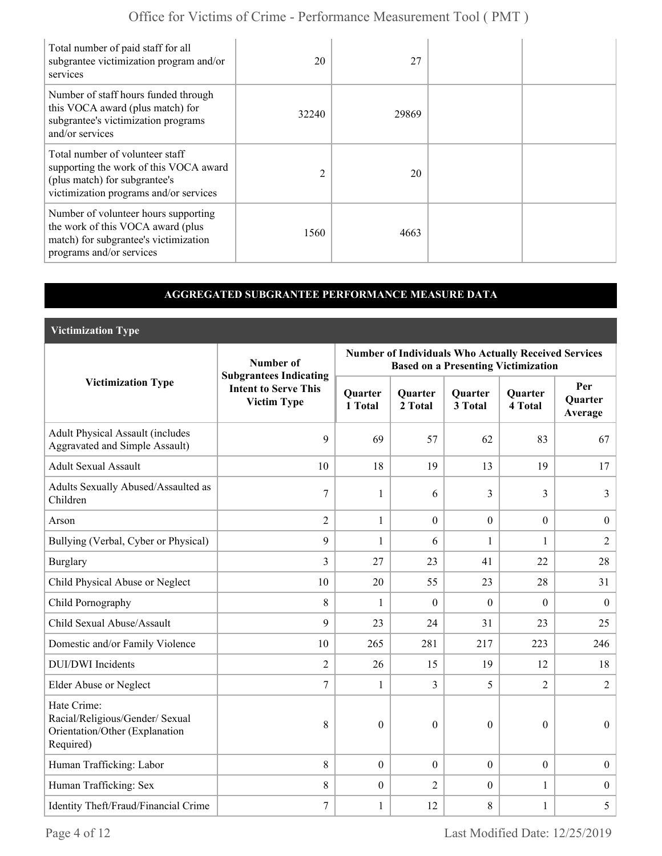| Total number of paid staff for all<br>subgrantee victimization program and/or<br>services                                                            | 20             | 27    |  |
|------------------------------------------------------------------------------------------------------------------------------------------------------|----------------|-------|--|
| Number of staff hours funded through<br>this VOCA award (plus match) for<br>subgrantee's victimization programs<br>and/or services                   | 32240          | 29869 |  |
| Total number of volunteer staff<br>supporting the work of this VOCA award<br>(plus match) for subgrantee's<br>victimization programs and/or services | $\overline{2}$ | 20    |  |
| Number of volunteer hours supporting<br>the work of this VOCA award (plus<br>match) for subgrantee's victimization<br>programs and/or services       | 1560           | 4663  |  |

# **AGGREGATED SUBGRANTEE PERFORMANCE MEASURE DATA**

**Victimization Type**

|                                                                                               | Number of                                                                          | <b>Number of Individuals Who Actually Received Services</b><br><b>Based on a Presenting Victimization</b> |                           |                           |                           |                                  |  |
|-----------------------------------------------------------------------------------------------|------------------------------------------------------------------------------------|-----------------------------------------------------------------------------------------------------------|---------------------------|---------------------------|---------------------------|----------------------------------|--|
| <b>Victimization Type</b>                                                                     | <b>Subgrantees Indicating</b><br><b>Intent to Serve This</b><br><b>Victim Type</b> | <b>Quarter</b><br>1 Total                                                                                 | <b>Quarter</b><br>2 Total | <b>Quarter</b><br>3 Total | <b>Quarter</b><br>4 Total | Per<br><b>Quarter</b><br>Average |  |
| <b>Adult Physical Assault (includes</b><br><b>Aggravated and Simple Assault)</b>              | 9                                                                                  | 69                                                                                                        | 57                        | 62                        | 83                        | 67                               |  |
| <b>Adult Sexual Assault</b>                                                                   | 10                                                                                 | 18                                                                                                        | 19                        | 13                        | 19                        | 17                               |  |
| Adults Sexually Abused/Assaulted as<br>Children                                               | $\tau$                                                                             | $\mathbf{1}$                                                                                              | 6                         | 3                         | 3                         | 3                                |  |
| Arson                                                                                         | $\overline{2}$                                                                     | $\mathbf{1}$                                                                                              | $\mathbf{0}$              | $\boldsymbol{0}$          | $\boldsymbol{0}$          | $\boldsymbol{0}$                 |  |
| Bullying (Verbal, Cyber or Physical)                                                          | 9                                                                                  | $\mathbf{1}$                                                                                              | 6                         | $\mathbf{1}$              | 1                         | $\overline{2}$                   |  |
| <b>Burglary</b>                                                                               | 3                                                                                  | 27                                                                                                        | 23                        | 41                        | 22                        | 28                               |  |
| Child Physical Abuse or Neglect                                                               | 10                                                                                 | 20                                                                                                        | 55                        | 23                        | 28                        | 31                               |  |
| Child Pornography                                                                             | 8                                                                                  | $\mathbf{1}$                                                                                              | $\mathbf{0}$              | $\theta$                  | $\mathbf{0}$              | $\boldsymbol{0}$                 |  |
| Child Sexual Abuse/Assault                                                                    | 9                                                                                  | 23                                                                                                        | 24                        | 31                        | 23                        | 25                               |  |
| Domestic and/or Family Violence                                                               | 10                                                                                 | 265                                                                                                       | 281                       | 217                       | 223                       | 246                              |  |
| <b>DUI/DWI</b> Incidents                                                                      | $\overline{2}$                                                                     | 26                                                                                                        | 15                        | 19                        | 12                        | 18                               |  |
| Elder Abuse or Neglect                                                                        | 7                                                                                  | 1                                                                                                         | $\overline{3}$            | 5                         | $\overline{2}$            | $\overline{2}$                   |  |
| Hate Crime:<br>Racial/Religious/Gender/ Sexual<br>Orientation/Other (Explanation<br>Required) | 8                                                                                  | $\theta$                                                                                                  | $\Omega$                  | $\boldsymbol{0}$          | $\theta$                  | $\boldsymbol{0}$                 |  |
| Human Trafficking: Labor                                                                      | 8                                                                                  | $\boldsymbol{0}$                                                                                          | $\mathbf{0}$              | $\boldsymbol{0}$          | $\boldsymbol{0}$          | $\boldsymbol{0}$                 |  |
| Human Trafficking: Sex                                                                        | 8                                                                                  | $\overline{0}$                                                                                            | $\overline{2}$            | $\boldsymbol{0}$          | 1                         | $\boldsymbol{0}$                 |  |
| Identity Theft/Fraud/Financial Crime                                                          | $\tau$                                                                             | $\mathbf{1}$                                                                                              | 12                        | 8                         | $\mathbf{1}$              | 5                                |  |

Page 4 of 12 Last Modified Date:  $12/25/2019$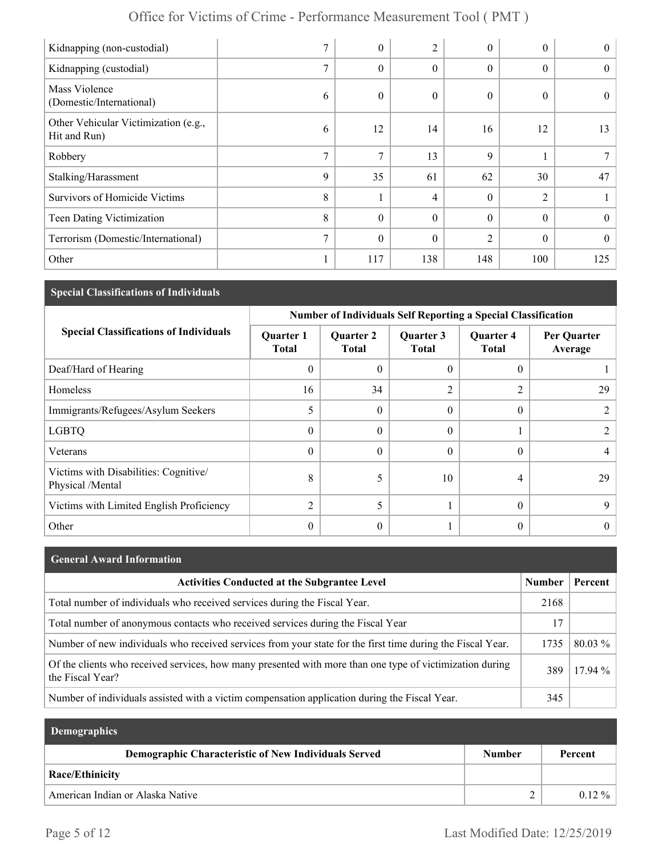| Kidnapping (non-custodial)                           | $\mathbf{r}$  | $\theta$     | 2        | $\theta$       | $\theta$       | $\theta$ |
|------------------------------------------------------|---------------|--------------|----------|----------------|----------------|----------|
| Kidnapping (custodial)                               | 7             | $\theta$     | $\theta$ | $\theta$       | $\theta$       | $\theta$ |
| Mass Violence<br>(Domestic/International)            | 6             | $\mathbf{0}$ | 0        | $\mathbf{0}$   | $\Omega$       | $\theta$ |
| Other Vehicular Victimization (e.g.,<br>Hit and Run) | 6             | 12           | 14       | 16             | 12             | 13       |
| Robbery                                              | $\tau$        | 7            | 13       | 9              |                |          |
| Stalking/Harassment                                  | 9             | 35           | 61       | 62             | 30             | 47       |
| Survivors of Homicide Victims                        | 8             |              | 4        | $\theta$       | $\overline{c}$ |          |
| Teen Dating Victimization                            | 8             | $\theta$     | $\theta$ | $\theta$       | $\Omega$       | $\theta$ |
| Terrorism (Domestic/International)                   | $\mathcal{I}$ | $\mathbf{0}$ | $\theta$ | $\overline{2}$ | $\Omega$       | $\theta$ |
| Other                                                |               | 117          | 138      | 148            | 100            | 125      |

# **Special Classifications of Individuals**

|                                                           | <b>Number of Individuals Self Reporting a Special Classification</b> |                                  |                           |                                  |                        |  |
|-----------------------------------------------------------|----------------------------------------------------------------------|----------------------------------|---------------------------|----------------------------------|------------------------|--|
| <b>Special Classifications of Individuals</b>             | <b>Quarter 1</b><br><b>Total</b>                                     | <b>Quarter 2</b><br><b>Total</b> | Quarter 3<br><b>Total</b> | <b>Quarter 4</b><br><b>Total</b> | Per Quarter<br>Average |  |
| Deaf/Hard of Hearing                                      | $\theta$                                                             | $\theta$                         | $\theta$                  | 0                                |                        |  |
| Homeless                                                  | 16                                                                   | 34                               | 2                         | 2                                | 29                     |  |
| Immigrants/Refugees/Asylum Seekers                        |                                                                      | $\Omega$                         | $\Omega$                  | $\theta$                         |                        |  |
| <b>LGBTQ</b>                                              | $\theta$                                                             | $\Omega$                         | $\Omega$                  |                                  |                        |  |
| Veterans                                                  | $\theta$                                                             | $\Omega$                         | $\Omega$                  | 0                                |                        |  |
| Victims with Disabilities: Cognitive/<br>Physical /Mental | 8                                                                    | 5                                | 10                        | 4                                | 29                     |  |
| Victims with Limited English Proficiency                  | $\overline{2}$                                                       | 5                                |                           | $\theta$                         | 9                      |  |
| Other                                                     | $\theta$                                                             | $\theta$                         |                           | 0                                |                        |  |

| <b>General Award Information</b>                                                                                             |               |           |
|------------------------------------------------------------------------------------------------------------------------------|---------------|-----------|
| <b>Activities Conducted at the Subgrantee Level</b>                                                                          | <b>Number</b> | Percent   |
| Total number of individuals who received services during the Fiscal Year.                                                    | 2168          |           |
| Total number of anonymous contacts who received services during the Fiscal Year                                              | 17            |           |
| Number of new individuals who received services from your state for the first time during the Fiscal Year.                   | 1735          | 80.03 %   |
| Of the clients who received services, how many presented with more than one type of victimization during<br>the Fiscal Year? | 389           | $17.94\%$ |
| Number of individuals assisted with a victim compensation application during the Fiscal Year.                                | 345           |           |

| <b>Demographics</b>                                  |               |           |
|------------------------------------------------------|---------------|-----------|
| Demographic Characteristic of New Individuals Served | <b>Number</b> | Percent   |
| Race/Ethinicity                                      |               |           |
| American Indian or Alaska Native                     |               | $0.12 \%$ |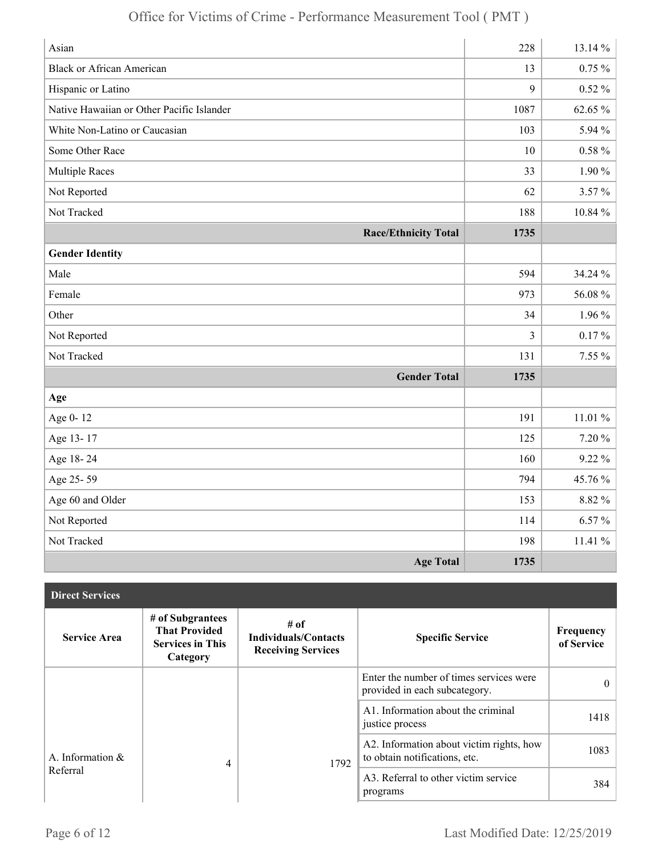| Asian                                     | 228  | 13.14 %   |
|-------------------------------------------|------|-----------|
| <b>Black or African American</b>          | 13   | $0.75~\%$ |
| Hispanic or Latino                        | 9    | $0.52\%$  |
| Native Hawaiian or Other Pacific Islander | 1087 | 62.65 %   |
| White Non-Latino or Caucasian             | 103  | 5.94 %    |
| Some Other Race                           | 10   | $0.58~\%$ |
| <b>Multiple Races</b>                     | 33   | $1.90\%$  |
| Not Reported                              | 62   | 3.57%     |
| Not Tracked                               | 188  | 10.84 %   |
| <b>Race/Ethnicity Total</b>               | 1735 |           |
| <b>Gender Identity</b>                    |      |           |
| Male                                      | 594  | 34.24 %   |
| Female                                    | 973  | 56.08%    |
| Other                                     | 34   | $1.96\%$  |
| Not Reported                              | 3    | $0.17 \%$ |
| Not Tracked                               | 131  | 7.55 %    |
| <b>Gender Total</b>                       | 1735 |           |
| Age                                       |      |           |
| Age 0-12                                  | 191  | 11.01%    |
| Age 13-17                                 | 125  | 7.20%     |
| Age 18-24                                 | 160  | $9.22\%$  |
| Age 25-59                                 | 794  | 45.76 %   |
| Age 60 and Older                          | 153  | 8.82 %    |
| Not Reported                              | 114  | $6.57\%$  |
| Not Tracked                               | 198  | 11.41%    |
| <b>Age Total</b>                          | 1735 |           |

| <b>Direct Services</b> |                                                                                 |                                                                  |                                                                           |                         |
|------------------------|---------------------------------------------------------------------------------|------------------------------------------------------------------|---------------------------------------------------------------------------|-------------------------|
| <b>Service Area</b>    | # of Subgrantees<br><b>That Provided</b><br><b>Services in This</b><br>Category | # of<br><b>Individuals/Contacts</b><br><b>Receiving Services</b> | <b>Specific Service</b>                                                   | Frequency<br>of Service |
|                        |                                                                                 |                                                                  | Enter the number of times services were<br>provided in each subcategory.  | $\theta$                |
|                        |                                                                                 |                                                                  | A1. Information about the criminal<br>justice process                     | 1418                    |
| A. Information &       | 4                                                                               | 1792                                                             | A2. Information about victim rights, how<br>to obtain notifications, etc. | 1083                    |
| Referral               |                                                                                 |                                                                  | A3. Referral to other victim service<br>programs                          | 384                     |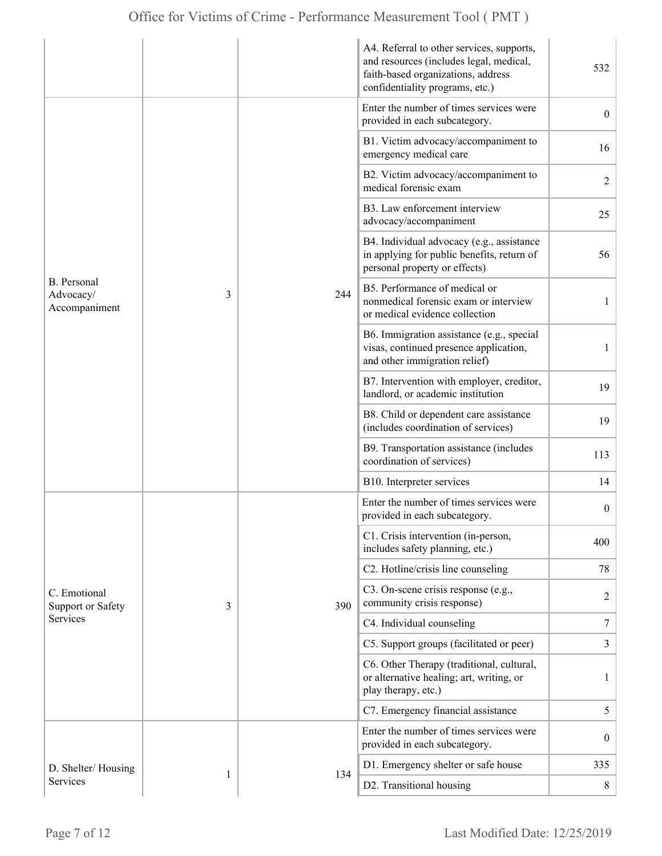|                                           |   |     | A4. Referral to other services, supports,<br>and resources (includes legal, medical,<br>faith-based organizations, address<br>confidentiality programs, etc.) | 532              |
|-------------------------------------------|---|-----|---------------------------------------------------------------------------------------------------------------------------------------------------------------|------------------|
| B. Personal<br>Advocacy/<br>Accompaniment |   |     | Enter the number of times services were<br>provided in each subcategory.                                                                                      | $\boldsymbol{0}$ |
|                                           |   |     | B1. Victim advocacy/accompaniment to<br>emergency medical care                                                                                                | 16               |
|                                           |   |     | B2. Victim advocacy/accompaniment to<br>medical forensic exam                                                                                                 | $\overline{2}$   |
|                                           |   |     | B3. Law enforcement interview<br>advocacy/accompaniment                                                                                                       | 25               |
|                                           |   |     | B4. Individual advocacy (e.g., assistance<br>in applying for public benefits, return of<br>personal property or effects)                                      | 56               |
|                                           | 3 | 244 | B5. Performance of medical or<br>nonmedical forensic exam or interview<br>or medical evidence collection                                                      | 1                |
|                                           |   |     | B6. Immigration assistance (e.g., special<br>visas, continued presence application,<br>and other immigration relief)                                          | 1                |
|                                           |   |     | B7. Intervention with employer, creditor,<br>landlord, or academic institution                                                                                | 19               |
|                                           |   |     | B8. Child or dependent care assistance<br>(includes coordination of services)                                                                                 | 19               |
|                                           |   |     | B9. Transportation assistance (includes<br>coordination of services)                                                                                          | 113              |
|                                           |   |     | B10. Interpreter services                                                                                                                                     | 14               |
|                                           |   |     | Enter the number of times services were<br>provided in each subcategory.                                                                                      | $\boldsymbol{0}$ |
|                                           |   |     | C1. Crisis intervention (in-person,<br>includes safety planning, etc.)                                                                                        | 400              |
|                                           |   |     | C2. Hotline/crisis line counseling                                                                                                                            | 78               |
| C. Emotional<br><b>Support or Safety</b>  | 3 | 390 | C3. On-scene crisis response (e.g.,<br>community crisis response)                                                                                             | $\overline{c}$   |
| Services                                  |   |     | C4. Individual counseling                                                                                                                                     | 7                |
|                                           |   |     | C5. Support groups (facilitated or peer)                                                                                                                      | 3                |
|                                           |   |     | C6. Other Therapy (traditional, cultural,<br>or alternative healing; art, writing, or<br>play therapy, etc.)                                                  | 1                |
|                                           |   |     | C7. Emergency financial assistance                                                                                                                            | 5                |
|                                           |   |     | Enter the number of times services were<br>provided in each subcategory.                                                                                      | $\mathbf{0}$     |
| D. Shelter/Housing                        | 1 | 134 | D1. Emergency shelter or safe house                                                                                                                           | 335              |
| Services                                  |   |     | D2. Transitional housing                                                                                                                                      | 8                |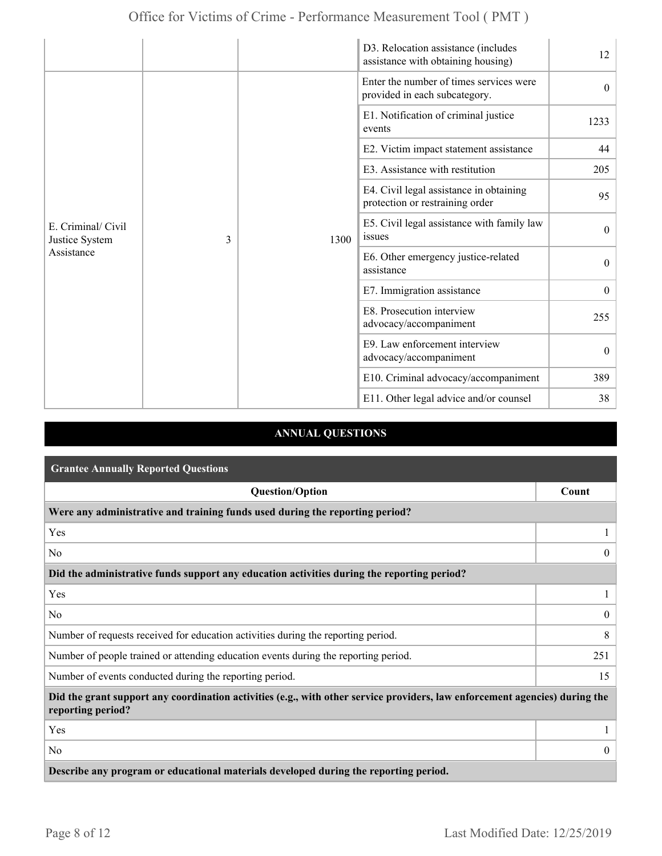|                                                         |  |                                                                            | D3. Relocation assistance (includes<br>assistance with obtaining housing) | 12               |
|---------------------------------------------------------|--|----------------------------------------------------------------------------|---------------------------------------------------------------------------|------------------|
| E. Criminal/ Civil<br>3<br>Justice System<br>Assistance |  |                                                                            | Enter the number of times services were<br>provided in each subcategory.  | $\theta$         |
|                                                         |  |                                                                            | E1. Notification of criminal justice<br>events                            | 1233             |
|                                                         |  |                                                                            | E2. Victim impact statement assistance                                    | 44               |
|                                                         |  |                                                                            | E3. Assistance with restitution                                           | 205              |
|                                                         |  | E4. Civil legal assistance in obtaining<br>protection or restraining order | 95                                                                        |                  |
|                                                         |  | 1300                                                                       | E5. Civil legal assistance with family law<br>issues                      | $\mathbf{0}$     |
|                                                         |  |                                                                            | E6. Other emergency justice-related<br>assistance                         | $\theta$         |
|                                                         |  |                                                                            | E7. Immigration assistance                                                | $\mathbf{0}$     |
|                                                         |  |                                                                            | E8. Prosecution interview<br>advocacy/accompaniment                       | 255              |
|                                                         |  |                                                                            | E9. Law enforcement interview<br>advocacy/accompaniment                   | $\boldsymbol{0}$ |
|                                                         |  |                                                                            | E10. Criminal advocacy/accompaniment                                      | 389              |
|                                                         |  |                                                                            | E11. Other legal advice and/or counsel                                    | 38               |

# **ANNUAL QUESTIONS**

| <b>Grantee Annually Reported Questions</b>                                                                                                       |                |  |  |
|--------------------------------------------------------------------------------------------------------------------------------------------------|----------------|--|--|
| <b>Question/Option</b>                                                                                                                           | Count          |  |  |
| Were any administrative and training funds used during the reporting period?                                                                     |                |  |  |
| Yes                                                                                                                                              |                |  |  |
| No.                                                                                                                                              | $\Omega$       |  |  |
| Did the administrative funds support any education activities during the reporting period?                                                       |                |  |  |
| Yes                                                                                                                                              |                |  |  |
| No                                                                                                                                               | $\overline{0}$ |  |  |
| Number of requests received for education activities during the reporting period.                                                                | 8              |  |  |
| Number of people trained or attending education events during the reporting period.                                                              | 251            |  |  |
| Number of events conducted during the reporting period.                                                                                          | 15             |  |  |
| Did the grant support any coordination activities (e.g., with other service providers, law enforcement agencies) during the<br>reporting period? |                |  |  |
| Yes                                                                                                                                              |                |  |  |
| No                                                                                                                                               | $\overline{0}$ |  |  |
| Describe any program or educational materials developed during the reporting period.                                                             |                |  |  |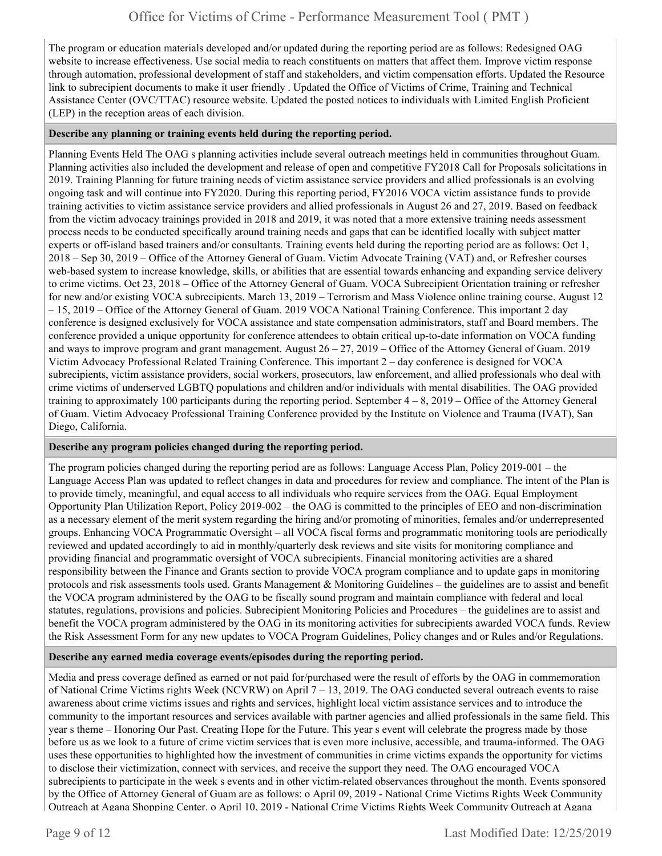The program or education materials developed and/or updated during the reporting period are as follows: Redesigned OAG website to increase effectiveness. Use social media to reach constituents on matters that affect them. Improve victim response through automation, professional development of staff and stakeholders, and victim compensation efforts. Updated the Resource link to subrecipient documents to make it user friendly . Updated the Office of Victims of Crime, Training and Technical Assistance Center (OVC/TTAC) resource website. Updated the posted notices to individuals with Limited English Proficient (LEP) in the reception areas of each division.

# **Describe any planning or training events held during the reporting period.**

Planning Events Held The OAG s planning activities include several outreach meetings held in communities throughout Guam. Planning activities also included the development and release of open and competitive FY2018 Call for Proposals solicitations in 2019. Training Planning for future training needs of victim assistance service providers and allied professionals is an evolving ongoing task and will continue into FY2020. During this reporting period, FY2016 VOCA victim assistance funds to provide training activities to victim assistance service providers and allied professionals in August 26 and 27, 2019. Based on feedback from the victim advocacy trainings provided in 2018 and 2019, it was noted that a more extensive training needs assessment process needs to be conducted specifically around training needs and gaps that can be identified locally with subject matter experts or off-island based trainers and/or consultants. Training events held during the reporting period are as follows: Oct 1, 2018 – Sep 30, 2019 – Office of the Attorney General of Guam. Victim Advocate Training (VAT) and, or Refresher courses web-based system to increase knowledge, skills, or abilities that are essential towards enhancing and expanding service delivery to crime victims. Oct 23, 2018 – Office of the Attorney General of Guam. VOCA Subrecipient Orientation training or refresher for new and/or existing VOCA subrecipients. March 13, 2019 – Terrorism and Mass Violence online training course. August 12 – 15, 2019 – Office of the Attorney General of Guam. 2019 VOCA National Training Conference. This important 2 day conference is designed exclusively for VOCA assistance and state compensation administrators, staff and Board members. The conference provided a unique opportunity for conference attendees to obtain critical up-to-date information on VOCA funding and ways to improve program and grant management. August 26 – 27, 2019 – Office of the Attorney General of Guam. 2019 Victim Advocacy Professional Related Training Conference. This important 2 – day conference is designed for VOCA subrecipients, victim assistance providers, social workers, prosecutors, law enforcement, and allied professionals who deal with crime victims of underserved LGBTQ populations and children and/or individuals with mental disabilities. The OAG provided training to approximately 100 participants during the reporting period. September 4 – 8, 2019 – Office of the Attorney General of Guam. Victim Advocacy Professional Training Conference provided by the Institute on Violence and Trauma (IVAT), San Diego, California.

## **Describe any program policies changed during the reporting period.**

The program policies changed during the reporting period are as follows: Language Access Plan, Policy 2019-001 – the Language Access Plan was updated to reflect changes in data and procedures for review and compliance. The intent of the Plan is to provide timely, meaningful, and equal access to all individuals who require services from the OAG. Equal Employment Opportunity Plan Utilization Report, Policy 2019-002 – the OAG is committed to the principles of EEO and non-discrimination as a necessary element of the merit system regarding the hiring and/or promoting of minorities, females and/or underrepresented groups. Enhancing VOCA Programmatic Oversight – all VOCA fiscal forms and programmatic monitoring tools are periodically reviewed and updated accordingly to aid in monthly/quarterly desk reviews and site visits for monitoring compliance and providing financial and programmatic oversight of VOCA subrecipients. Financial monitoring activities are a shared responsibility between the Finance and Grants section to provide VOCA program compliance and to update gaps in monitoring protocols and risk assessments tools used. Grants Management & Monitoring Guidelines – the guidelines are to assist and benefit the VOCA program administered by the OAG to be fiscally sound program and maintain compliance with federal and local statutes, regulations, provisions and policies. Subrecipient Monitoring Policies and Procedures – the guidelines are to assist and benefit the VOCA program administered by the OAG in its monitoring activities for subrecipients awarded VOCA funds. Review the Risk Assessment Form for any new updates to VOCA Program Guidelines, Policy changes and or Rules and/or Regulations.

## **Describe any earned media coverage events/episodes during the reporting period.**

Media and press coverage defined as earned or not paid for/purchased were the result of efforts by the OAG in commemoration of National Crime Victims rights Week (NCVRW) on April 7 – 13, 2019. The OAG conducted several outreach events to raise awareness about crime victims issues and rights and services, highlight local victim assistance services and to introduce the community to the important resources and services available with partner agencies and allied professionals in the same field. This year s theme – Honoring Our Past. Creating Hope for the Future. This year s event will celebrate the progress made by those before us as we look to a future of crime victim services that is even more inclusive, accessible, and trauma-informed. The OAG uses these opportunities to highlighted how the investment of communities in crime victims expands the opportunity for victims to disclose their victimization, connect with services, and receive the support they need. The OAG encouraged VOCA subrecipients to participate in the week s events and in other victim-related observances throughout the month. Events sponsored by the Office of Attorney General of Guam are as follows: o April 09, 2019 - National Crime Victims Rights Week Community Outreach at Agana Shopping Center. o April 10, 2019 - National Crime Victims Rights Week Community Outreach at Agana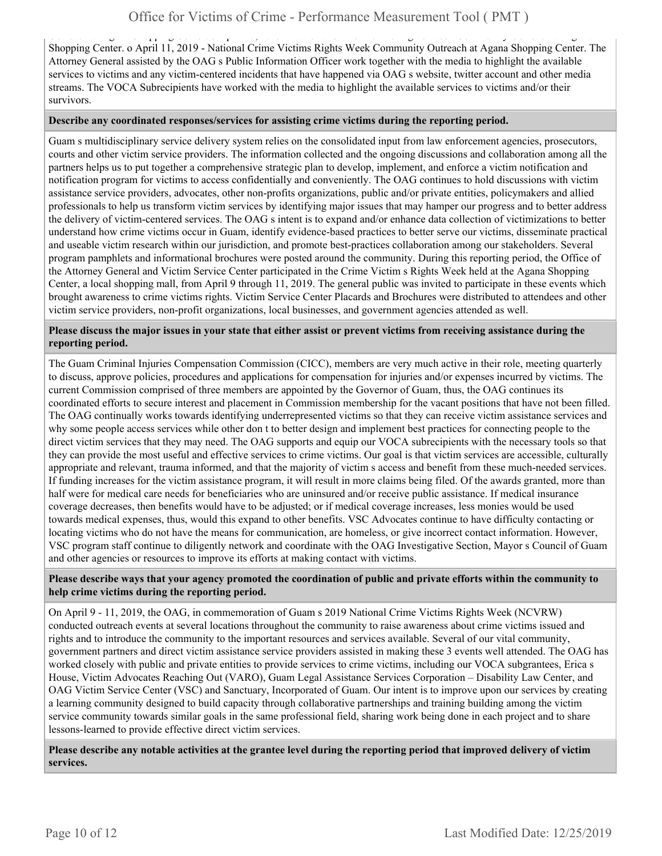Outreach at Agana Shopping Center. o April 10, 2019 - National Crime Victims Rights Week Community Outreach at Agana Shopping Center. o April 11, 2019 - National Crime Victims Rights Week Community Outreach at Agana Shopping Center. The Attorney General assisted by the OAG s Public Information Officer work together with the media to highlight the available services to victims and any victim-centered incidents that have happened via OAG s website, twitter account and other media streams. The VOCA Subrecipients have worked with the media to highlight the available services to victims and/or their survivors.

#### **Describe any coordinated responses/services for assisting crime victims during the reporting period.**

Guam s multidisciplinary service delivery system relies on the consolidated input from law enforcement agencies, prosecutors, courts and other victim service providers. The information collected and the ongoing discussions and collaboration among all the partners helps us to put together a comprehensive strategic plan to develop, implement, and enforce a victim notification and notification program for victims to access confidentially and conveniently. The OAG continues to hold discussions with victim assistance service providers, advocates, other non-profits organizations, public and/or private entities, policymakers and allied professionals to help us transform victim services by identifying major issues that may hamper our progress and to better address the delivery of victim-centered services. The OAG s intent is to expand and/or enhance data collection of victimizations to better understand how crime victims occur in Guam, identify evidence-based practices to better serve our victims, disseminate practical and useable victim research within our jurisdiction, and promote best-practices collaboration among our stakeholders. Several program pamphlets and informational brochures were posted around the community. During this reporting period, the Office of the Attorney General and Victim Service Center participated in the Crime Victim s Rights Week held at the Agana Shopping Center, a local shopping mall, from April 9 through 11, 2019. The general public was invited to participate in these events which brought awareness to crime victims rights. Victim Service Center Placards and Brochures were distributed to attendees and other victim service providers, non-profit organizations, local businesses, and government agencies attended as well.

## **Please discuss the major issues in your state that either assist or prevent victims from receiving assistance during the reporting period.**

The Guam Criminal Injuries Compensation Commission (CICC), members are very much active in their role, meeting quarterly to discuss, approve policies, procedures and applications for compensation for injuries and/or expenses incurred by victims. The current Commission comprised of three members are appointed by the Governor of Guam, thus, the OAG continues its coordinated efforts to secure interest and placement in Commission membership for the vacant positions that have not been filled. The OAG continually works towards identifying underrepresented victims so that they can receive victim assistance services and why some people access services while other don t to better design and implement best practices for connecting people to the direct victim services that they may need. The OAG supports and equip our VOCA subrecipients with the necessary tools so that they can provide the most useful and effective services to crime victims. Our goal is that victim services are accessible, culturally appropriate and relevant, trauma informed, and that the majority of victim s access and benefit from these much-needed services. If funding increases for the victim assistance program, it will result in more claims being filed. Of the awards granted, more than half were for medical care needs for beneficiaries who are uninsured and/or receive public assistance. If medical insurance coverage decreases, then benefits would have to be adjusted; or if medical coverage increases, less monies would be used towards medical expenses, thus, would this expand to other benefits. VSC Advocates continue to have difficulty contacting or locating victims who do not have the means for communication, are homeless, or give incorrect contact information. However, VSC program staff continue to diligently network and coordinate with the OAG Investigative Section, Mayor s Council of Guam and other agencies or resources to improve its efforts at making contact with victims.

## **Please describe ways that your agency promoted the coordination of public and private efforts within the community to help crime victims during the reporting period.**

On April 9 - 11, 2019, the OAG, in commemoration of Guam s 2019 National Crime Victims Rights Week (NCVRW) conducted outreach events at several locations throughout the community to raise awareness about crime victims issued and rights and to introduce the community to the important resources and services available. Several of our vital community, government partners and direct victim assistance service providers assisted in making these 3 events well attended. The OAG has worked closely with public and private entities to provide services to crime victims, including our VOCA subgrantees, Erica s House, Victim Advocates Reaching Out (VARO), Guam Legal Assistance Services Corporation – Disability Law Center, and OAG Victim Service Center (VSC) and Sanctuary, Incorporated of Guam. Our intent is to improve upon our services by creating a learning community designed to build capacity through collaborative partnerships and training building among the victim service community towards similar goals in the same professional field, sharing work being done in each project and to share lessons-learned to provide effective direct victim services.

**Please describe any notable activities at the grantee level during the reporting period that improved delivery of victim services.**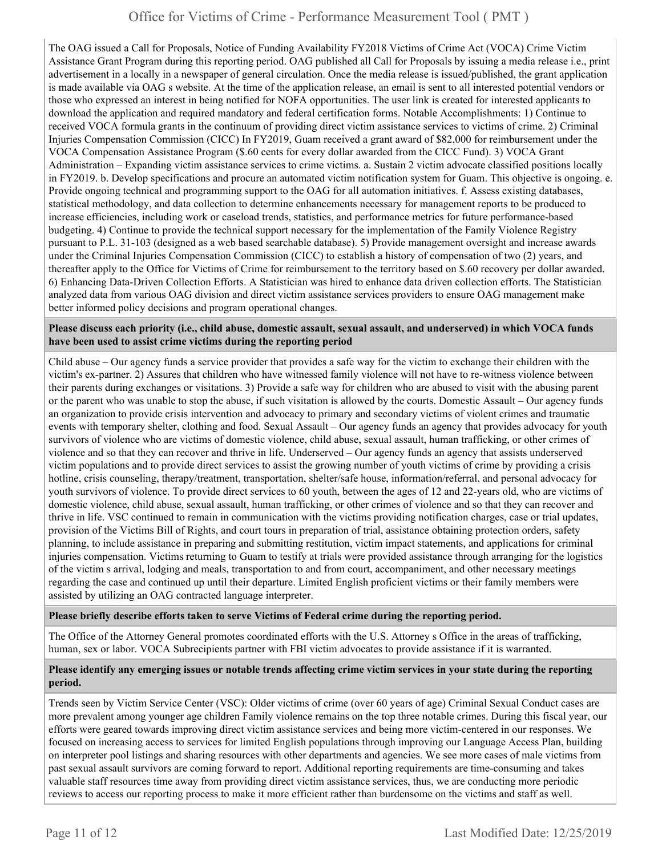The OAG issued a Call for Proposals, Notice of Funding Availability FY2018 Victims of Crime Act (VOCA) Crime Victim Assistance Grant Program during this reporting period. OAG published all Call for Proposals by issuing a media release i.e., print advertisement in a locally in a newspaper of general circulation. Once the media release is issued/published, the grant application is made available via OAG s website. At the time of the application release, an email is sent to all interested potential vendors or those who expressed an interest in being notified for NOFA opportunities. The user link is created for interested applicants to download the application and required mandatory and federal certification forms. Notable Accomplishments: 1) Continue to received VOCA formula grants in the continuum of providing direct victim assistance services to victims of crime. 2) Criminal Injuries Compensation Commission (CICC) In FY2019, Guam received a grant award of \$82,000 for reimbursement under the VOCA Compensation Assistance Program (\$.60 cents for every dollar awarded from the CICC Fund). 3) VOCA Grant Administration – Expanding victim assistance services to crime victims. a. Sustain 2 victim advocate classified positions locally in FY2019. b. Develop specifications and procure an automated victim notification system for Guam. This objective is ongoing. e. Provide ongoing technical and programming support to the OAG for all automation initiatives. f. Assess existing databases, statistical methodology, and data collection to determine enhancements necessary for management reports to be produced to increase efficiencies, including work or caseload trends, statistics, and performance metrics for future performance-based budgeting. 4) Continue to provide the technical support necessary for the implementation of the Family Violence Registry pursuant to P.L. 31-103 (designed as a web based searchable database). 5) Provide management oversight and increase awards under the Criminal Injuries Compensation Commission (CICC) to establish a history of compensation of two (2) years, and thereafter apply to the Office for Victims of Crime for reimbursement to the territory based on \$.60 recovery per dollar awarded. 6) Enhancing Data-Driven Collection Efforts. A Statistician was hired to enhance data driven collection efforts. The Statistician analyzed data from various OAG division and direct victim assistance services providers to ensure OAG management make better informed policy decisions and program operational changes.

# **Please discuss each priority (i.e., child abuse, domestic assault, sexual assault, and underserved) in which VOCA funds have been used to assist crime victims during the reporting period**

Child abuse – Our agency funds a service provider that provides a safe way for the victim to exchange their children with the victim's ex-partner. 2) Assures that children who have witnessed family violence will not have to re-witness violence between their parents during exchanges or visitations. 3) Provide a safe way for children who are abused to visit with the abusing parent or the parent who was unable to stop the abuse, if such visitation is allowed by the courts. Domestic Assault – Our agency funds an organization to provide crisis intervention and advocacy to primary and secondary victims of violent crimes and traumatic events with temporary shelter, clothing and food. Sexual Assault – Our agency funds an agency that provides advocacy for youth survivors of violence who are victims of domestic violence, child abuse, sexual assault, human trafficking, or other crimes of violence and so that they can recover and thrive in life. Underserved – Our agency funds an agency that assists underserved victim populations and to provide direct services to assist the growing number of youth victims of crime by providing a crisis hotline, crisis counseling, therapy/treatment, transportation, shelter/safe house, information/referral, and personal advocacy for youth survivors of violence. To provide direct services to 60 youth, between the ages of 12 and 22-years old, who are victims of domestic violence, child abuse, sexual assault, human trafficking, or other crimes of violence and so that they can recover and thrive in life. VSC continued to remain in communication with the victims providing notification charges, case or trial updates, provision of the Victims Bill of Rights, and court tours in preparation of trial, assistance obtaining protection orders, safety planning, to include assistance in preparing and submitting restitution, victim impact statements, and applications for criminal injuries compensation. Victims returning to Guam to testify at trials were provided assistance through arranging for the logistics of the victim s arrival, lodging and meals, transportation to and from court, accompaniment, and other necessary meetings regarding the case and continued up until their departure. Limited English proficient victims or their family members were assisted by utilizing an OAG contracted language interpreter.

# **Please briefly describe efforts taken to serve Victims of Federal crime during the reporting period.**

The Office of the Attorney General promotes coordinated efforts with the U.S. Attorney s Office in the areas of trafficking, human, sex or labor. VOCA Subrecipients partner with FBI victim advocates to provide assistance if it is warranted.

## **Please identify any emerging issues or notable trends affecting crime victim services in your state during the reporting period.**

Trends seen by Victim Service Center (VSC): Older victims of crime (over 60 years of age) Criminal Sexual Conduct cases are more prevalent among younger age children Family violence remains on the top three notable crimes. During this fiscal year, our efforts were geared towards improving direct victim assistance services and being more victim-centered in our responses. We focused on increasing access to services for limited English populations through improving our Language Access Plan, building on interpreter pool listings and sharing resources with other departments and agencies. We see more cases of male victims from past sexual assault survivors are coming forward to report. Additional reporting requirements are time-consuming and takes valuable staff resources time away from providing direct victim assistance services, thus, we are conducting more periodic reviews to access our reporting process to make it more efficient rather than burdensome on the victims and staff as well.